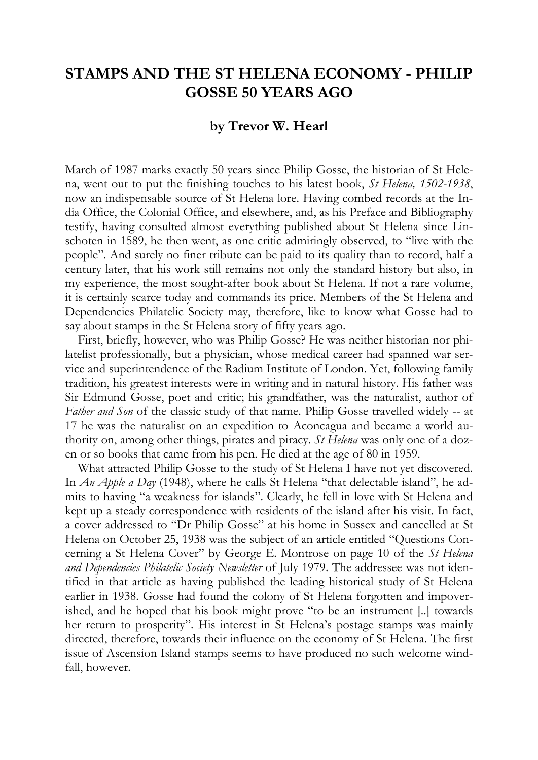## **STAMPS AND THE ST HELENA ECONOMY - PHILIP GOSSE 50 YEARS AGO**

## **by Trevor W. Hearl**

March of 1987 marks exactly 50 years since Philip Gosse, the historian of St Helena, went out to put the finishing touches to his latest book, *St Helena, 1502-1938*, now an indispensable source of St Helena lore. Having combed records at the India Office, the Colonial Office, and elsewhere, and, as his Preface and Bibliography testify, having consulted almost everything published about St Helena since Linschoten in 1589, he then went, as one critic admiringly observed, to "live with the people". And surely no finer tribute can be paid to its quality than to record, half a century later, that his work still remains not only the standard history but also, in my experience, the most sought-after book about St Helena. If not a rare volume, it is certainly scarce today and commands its price. Members of the St Helena and Dependencies Philatelic Society may, therefore, like to know what Gosse had to say about stamps in the St Helena story of fifty years ago.

First, briefly, however, who was Philip Gosse? He was neither historian nor philatelist professionally, but a physician, whose medical career had spanned war service and superintendence of the Radium Institute of London. Yet, following family tradition, his greatest interests were in writing and in natural history. His father was Sir Edmund Gosse, poet and critic; his grandfather, was the naturalist, author of *Father and Son* of the classic study of that name. Philip Gosse travelled widely -- at 17 he was the naturalist on an expedition to Aconcagua and became a world authority on, among other things, pirates and piracy. *St Helena* was only one of a dozen or so books that came from his pen. He died at the age of 80 in 1959.

What attracted Philip Gosse to the study of St Helena I have not yet discovered. In *An Apple a Day* (1948), where he calls St Helena "that delectable island", he admits to having "a weakness for islands". Clearly, he fell in love with St Helena and kept up a steady correspondence with residents of the island after his visit. In fact, a cover addressed to "Dr Philip Gosse" at his home in Sussex and cancelled at St Helena on October 25, 1938 was the subject of an article entitled "Questions Concerning a St Helena Cover" by George E. Montrose on page 10 of the *St Helena and Dependencies Philatelic Society Newsletter* of July 1979. The addressee was not identified in that article as having published the leading historical study of St Helena earlier in 1938. Gosse had found the colony of St Helena forgotten and impoverished, and he hoped that his book might prove "to be an instrument [..] towards her return to prosperity". His interest in St Helena's postage stamps was mainly directed, therefore, towards their influence on the economy of St Helena. The first issue of Ascension Island stamps seems to have produced no such welcome windfall, however.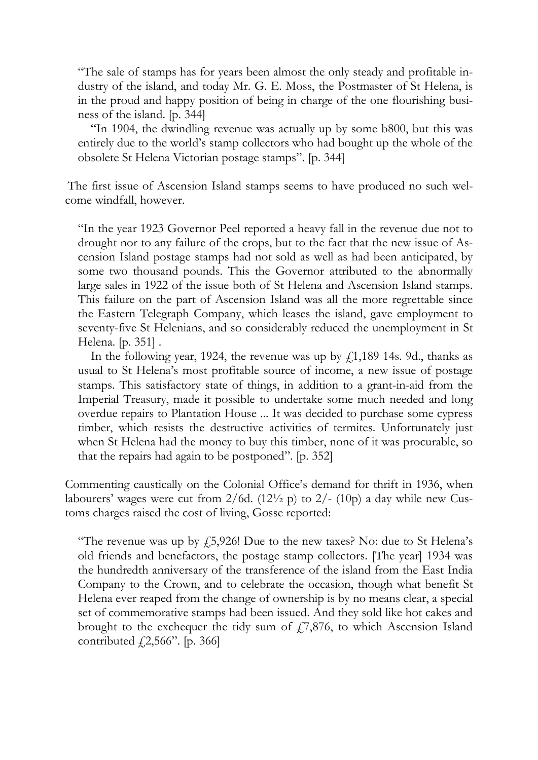"The sale of stamps has for years been almost the only steady and profitable industry of the island, and today Mr. G. E. Moss, the Postmaster of St Helena, is in the proud and happy position of being in charge of the one flourishing business of the island. [p. 344]

"In 1904, the dwindling revenue was actually up by some b800, but this was entirely due to the world's stamp collectors who had bought up the whole of the obsolete St Helena Victorian postage stamps". [p. 344]

The first issue of Ascension Island stamps seems to have produced no such welcome windfall, however.

"In the year 1923 Governor Peel reported a heavy fall in the revenue due not to drought nor to any failure of the crops, but to the fact that the new issue of Ascension Island postage stamps had not sold as well as had been anticipated, by some two thousand pounds. This the Governor attributed to the abnormally large sales in 1922 of the issue both of St Helena and Ascension Island stamps. This failure on the part of Ascension Island was all the more regrettable since the Eastern Telegraph Company, which leases the island, gave employment to seventy-five St Helenians, and so considerably reduced the unemployment in St Helena. [p. 351] .

In the following year, 1924, the revenue was up by  $f<sub>1</sub>1,189$  14s. 9d., thanks as usual to St Helena's most profitable source of income, a new issue of postage stamps. This satisfactory state of things, in addition to a grant-in-aid from the Imperial Treasury, made it possible to undertake some much needed and long overdue repairs to Plantation House ... It was decided to purchase some cypress timber, which resists the destructive activities of termites. Unfortunately just when St Helena had the money to buy this timber, none of it was procurable, so that the repairs had again to be postponed". [p. 352]

Commenting caustically on the Colonial Office's demand for thrift in 1936, when labourers' wages were cut from  $2/6d$ . (12<sup>1</sup>/<sub>2</sub> p) to 2/- (10<sub>p</sub>) a day while new Customs charges raised the cost of living, Gosse reported:

"The revenue was up by  $f_{25}$ , 43. Due to the new taxes? No: due to St Helena's old friends and benefactors, the postage stamp collectors. [The year] 1934 was the hundredth anniversary of the transference of the island from the East India Company to the Crown, and to celebrate the occasion, though what benefit St Helena ever reaped from the change of ownership is by no means clear, a special set of commemorative stamps had been issued. And they sold like hot cakes and brought to the exchequer the tidy sum of  $\ddot{f}$ , 7,876, to which Ascension Island contributed  $\text{\emph{f}}[2,566"$ . [p. 366]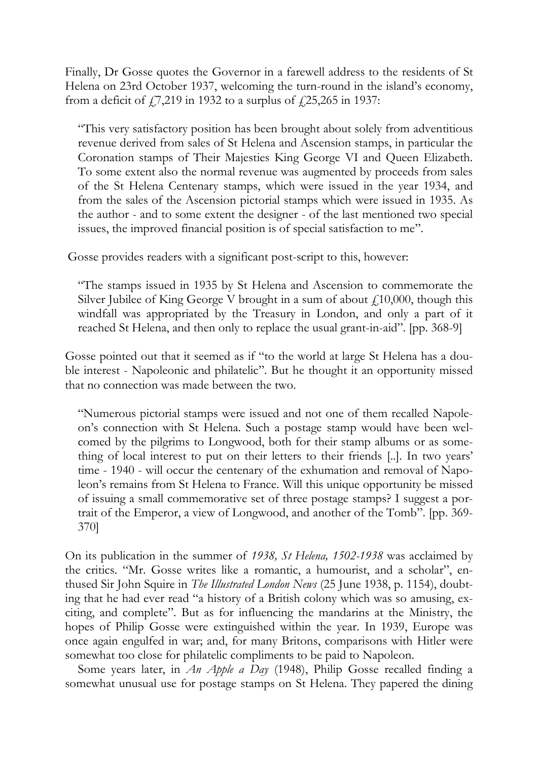Finally, Dr Gosse quotes the Governor in a farewell address to the residents of St Helena on 23rd October 1937, welcoming the turn-round in the island's economy, from a deficit of  $\frac{1}{2}$ ,  $\frac{219}{10}$  in 1932 to a surplus of  $\frac{1}{2}$ ,  $\frac{25}{265}$  in 1937:

"This very satisfactory position has been brought about solely from adventitious revenue derived from sales of St Helena and Ascension stamps, in particular the Coronation stamps of Their Majesties King George VI and Queen Elizabeth. To some extent also the normal revenue was augmented by proceeds from sales of the St Helena Centenary stamps, which were issued in the year 1934, and from the sales of the Ascension pictorial stamps which were issued in 1935. As the author - and to some extent the designer - of the last mentioned two special issues, the improved financial position is of special satisfaction to me".

Gosse provides readers with a significant post-script to this, however:

"The stamps issued in 1935 by St Helena and Ascension to commemorate the Silver Jubilee of King George V brought in a sum of about  $f<sub>10</sub>000$ , though this windfall was appropriated by the Treasury in London, and only a part of it reached St Helena, and then only to replace the usual grant-in-aid". [pp. 368-9]

Gosse pointed out that it seemed as if "to the world at large St Helena has a double interest - Napoleonic and philatelic". But he thought it an opportunity missed that no connection was made between the two.

"Numerous pictorial stamps were issued and not one of them recalled Napoleon's connection with St Helena. Such a postage stamp would have been welcomed by the pilgrims to Longwood, both for their stamp albums or as something of local interest to put on their letters to their friends [..]. In two years' time - 1940 - will occur the centenary of the exhumation and removal of Napoleon's remains from St Helena to France. Will this unique opportunity be missed of issuing a small commemorative set of three postage stamps? I suggest a portrait of the Emperor, a view of Longwood, and another of the Tomb". [pp. 369- 370]

On its publication in the summer of *1938, St Helena, 1502-1938* was acclaimed by the critics. "Mr. Gosse writes like a romantic, a humourist, and a scholar", enthused Sir John Squire in *The Illustrated London News* (25 June 1938, p. 1154), doubting that he had ever read "a history of a British colony which was so amusing, exciting, and complete". But as for influencing the mandarins at the Ministry, the hopes of Philip Gosse were extinguished within the year. In 1939, Europe was once again engulfed in war; and, for many Britons, comparisons with Hitler were somewhat too close for philatelic compliments to be paid to Napoleon.

Some years later, in *An Apple a Day* (1948), Philip Gosse recalled finding a somewhat unusual use for postage stamps on St Helena. They papered the dining